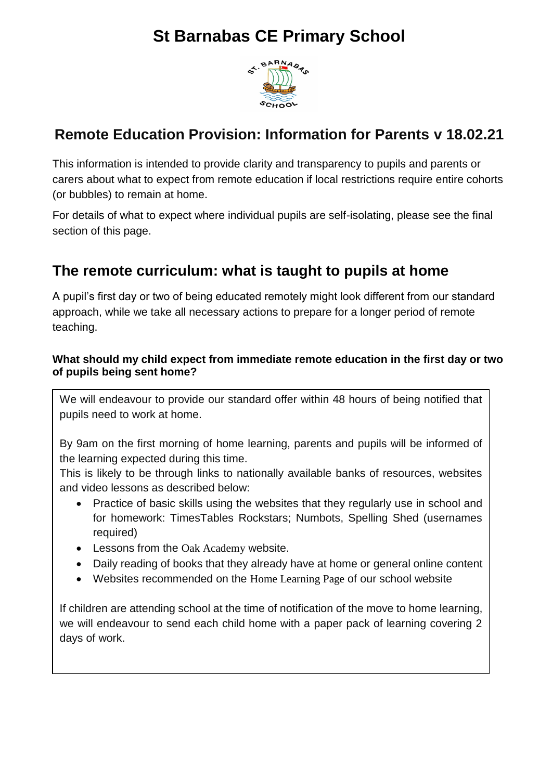# **St Barnabas CE Primary School**



### **Remote Education Provision: Information for Parents v 18.02.21**

This information is intended to provide clarity and transparency to pupils and parents or carers about what to expect from remote education if local restrictions require entire cohorts (or bubbles) to remain at home.

For details of what to expect where individual pupils are self-isolating, please see the final section of this page.

## **The remote curriculum: what is taught to pupils at home**

A pupil's first day or two of being educated remotely might look different from our standard approach, while we take all necessary actions to prepare for a longer period of remote teaching.

### **What should my child expect from immediate remote education in the first day or two of pupils being sent home?**

We will endeavour to provide our standard offer within 48 hours of being notified that pupils need to work at home.

By 9am on the first morning of home learning, parents and pupils will be informed of the learning expected during this time.

This is likely to be through links to nationally available banks of resources, websites and video lessons as described below:

- Practice of basic skills using the websites that they regularly use in school and for homework: TimesTables Rockstars; Numbots, Spelling Shed (usernames required)
- Lessons from the [Oak Academy](https://www.thenational.academy/) website.
- Daily reading of books that they already have at home or general online content
- Websites recommended on the [Home Learning Page](https://stbarnabasprimary.co.uk/curriculum/learning-at-home/) of our school website

If children are attending school at the time of notification of the move to home learning, we will endeavour to send each child home with a paper pack of learning covering 2 days of work.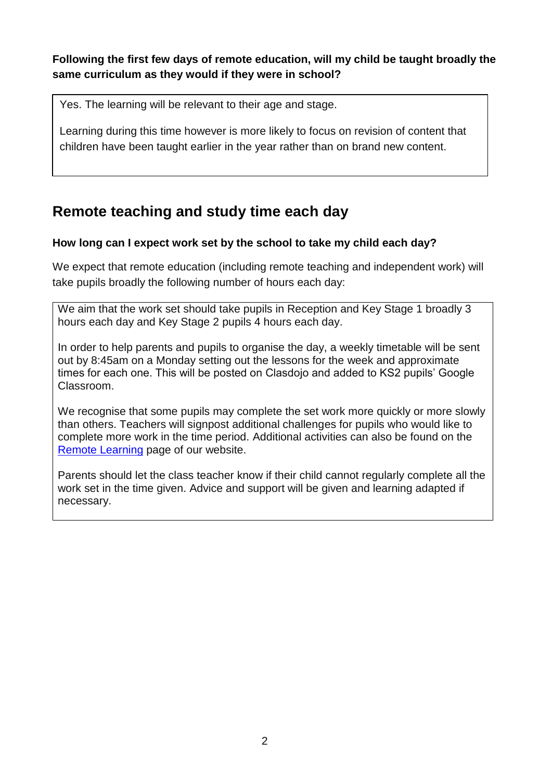**Following the first few days of remote education, will my child be taught broadly the same curriculum as they would if they were in school?**

Yes. The learning will be relevant to their age and stage.

Learning during this time however is more likely to focus on revision of content that children have been taught earlier in the year rather than on brand new content.

## **Remote teaching and study time each day**

### **How long can I expect work set by the school to take my child each day?**

We expect that remote education (including remote teaching and independent work) will take pupils broadly the following number of hours each day:

We aim that the work set should take pupils in Reception and Key Stage 1 broadly 3 hours each day and Key Stage 2 pupils 4 hours each day.

In order to help parents and pupils to organise the day, a weekly timetable will be sent out by 8:45am on a Monday setting out the lessons for the week and approximate times for each one. This will be posted on Clasdojo and added to KS2 pupils' Google Classroom.

We recognise that some pupils may complete the set work more quickly or more slowly than others. Teachers will signpost additional challenges for pupils who would like to complete more work in the time period. Additional activities can also be found on the [Remote Learning](https://stbarnabasprimary.co.uk/curriculum/learning-at-home/) page of our website.

Parents should let the class teacher know if their child cannot regularly complete all the work set in the time given. Advice and support will be given and learning adapted if necessary.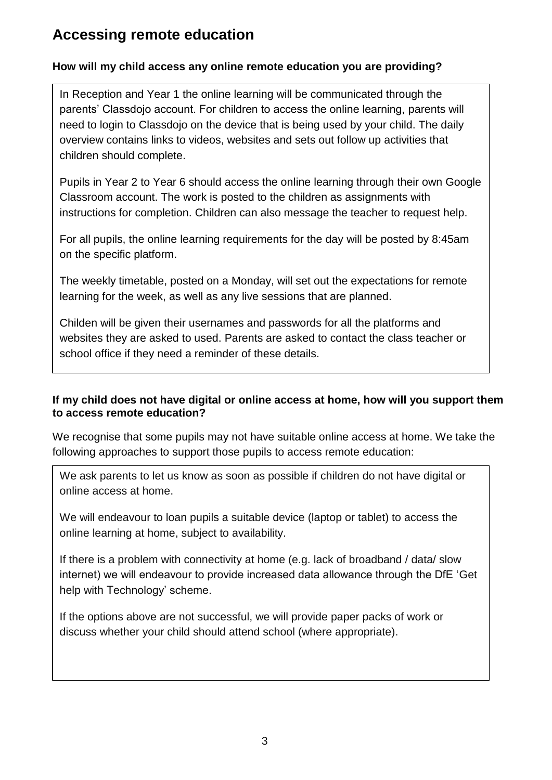### **Accessing remote education**

### **How will my child access any online remote education you are providing?**

In Reception and Year 1 the online learning will be communicated through the parents' Classdojo account. For children to access the online learning, parents will need to login to Classdojo on the device that is being used by your child. The daily overview contains links to videos, websites and sets out follow up activities that children should complete.

Pupils in Year 2 to Year 6 should access the online learning through their own Google Classroom account. The work is posted to the children as assignments with instructions for completion. Children can also message the teacher to request help.

For all pupils, the online learning requirements for the day will be posted by 8:45am on the specific platform.

The weekly timetable, posted on a Monday, will set out the expectations for remote learning for the week, as well as any live sessions that are planned.

Childen will be given their usernames and passwords for all the platforms and websites they are asked to used. Parents are asked to contact the class teacher or school office if they need a reminder of these details.

### **If my child does not have digital or online access at home, how will you support them to access remote education?**

We recognise that some pupils may not have suitable online access at home. We take the following approaches to support those pupils to access remote education:

We ask parents to let us know as soon as possible if children do not have digital or online access at home.

We will endeavour to loan pupils a suitable device (laptop or tablet) to access the online learning at home, subject to availability.

If there is a problem with connectivity at home (e.g. lack of broadband / data/ slow internet) we will endeavour to provide increased data allowance through the DfE ['Get](https://get-help-with-tech.education.gov.uk/about-increasing-mobile-data)  help with [Technology' scheme.](https://get-help-with-tech.education.gov.uk/about-increasing-mobile-data)

If the options above are not successful, we will provide paper packs of work or discuss whether your child should attend school (where appropriate).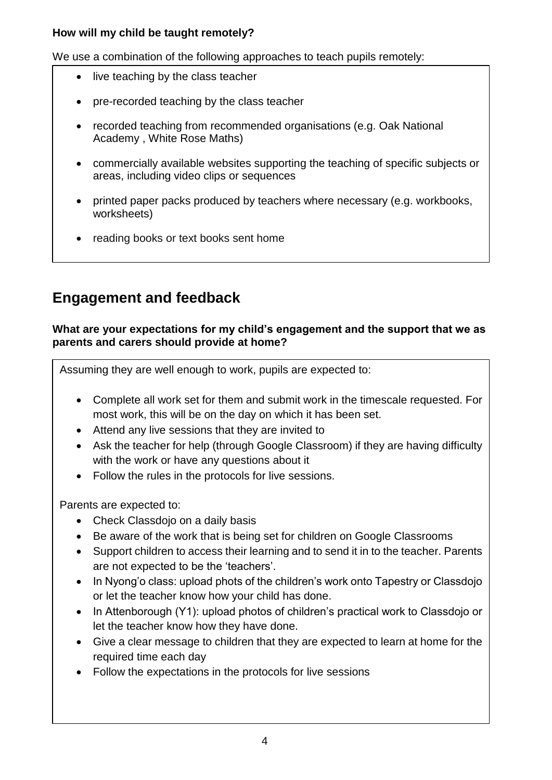### **How will my child be taught remotely?**

We use a combination of the following approaches to teach pupils remotely:

- live teaching by the class teacher
- pre-recorded teaching by the class teacher
- recorded teaching from recommended organisations (e.g. Oak National Academy , White Rose Maths)
- commercially available websites supporting the teaching of specific subjects or areas, including video clips or sequences
- printed paper packs produced by teachers where necessary (e.g. workbooks, worksheets)
- reading books or text books sent home

## **Engagement and feedback**

### **What are your expectations for my child's engagement and the support that we as parents and carers should provide at home?**

Assuming they are well enough to work, pupils are expected to:

- Complete all work set for them and submit work in the timescale requested. For most work, this will be on the day on which it has been set.
- Attend any live sessions that they are invited to
- Ask the teacher for help (through Google Classroom) if they are having difficulty with the work or have any questions about it
- Follow the rules in the protocols for live sessions.

Parents are expected to:

- Check Classdojo on a daily basis
- Be aware of the work that is being set for children on Google Classrooms
- Support children to access their learning and to send it in to the teacher. Parents are not expected to be the 'teachers'.
- In Nyong'o class: upload phots of the children's work onto Tapestry or Classdojo or let the teacher know how your child has done.
- In Attenborough (Y1): upload photos of children's practical work to Classdojo or let the teacher know how they have done.
- Give a clear message to children that they are expected to learn at home for the required time each day
- Follow the expectations in the protocols for live sessions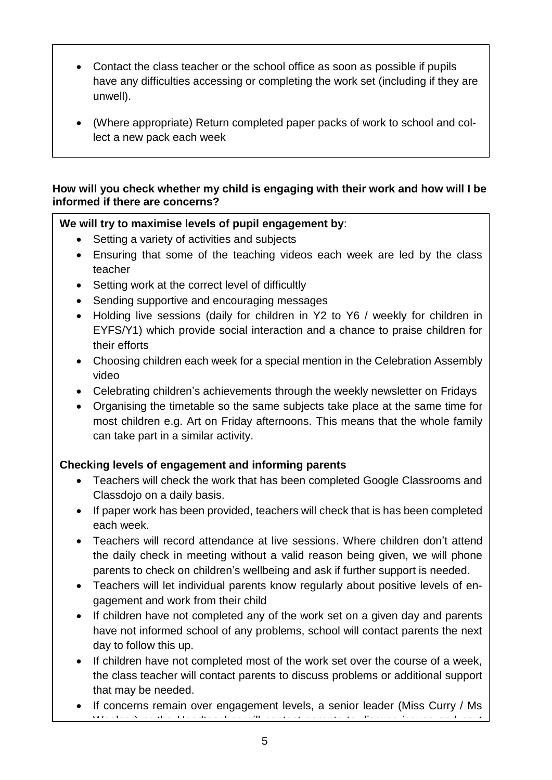- Contact the class teacher or the school office as soon as possible if pupils have any difficulties accessing or completing the work set (including if they are unwell).
- (Where appropriate) Return completed paper packs of work to school and collect a new pack each week

### **How will you check whether my child is engaging with their work and how will I be informed if there are concerns?**

### **We will try to maximise levels of pupil engagement by**:

- Setting a variety of activities and subjects
- Ensuring that some of the teaching videos each week are led by the class teacher
- Setting work at the correct level of difficultly
- Sending supportive and encouraging messages
- Holding live sessions (daily for children in Y2 to Y6 / weekly for children in EYFS/Y1) which provide social interaction and a chance to praise children for their efforts
- Choosing children each week for a special mention in the Celebration Assembly video
- Celebrating children's achievements through the weekly newsletter on Fridays
- Organising the timetable so the same subjects take place at the same time for most children e.g. Art on Friday afternoons. This means that the whole family can take part in a similar activity.

### **Checking levels of engagement and informing parents**

- Teachers will check the work that has been completed Google Classrooms and Classdojo on a daily basis.
- If paper work has been provided, teachers will check that is has been completed each week.
- Teachers will record attendance at live sessions. Where children don't attend the daily check in meeting without a valid reason being given, we will phone parents to check on children's wellbeing and ask if further support is needed.
- Teachers will let individual parents know regularly about positive levels of engagement and work from their child
- If children have not completed any of the work set on a given day and parents have not informed school of any problems, school will contact parents the next day to follow this up.
- If children have not completed most of the work set over the course of a week, the class teacher will contact parents to discuss problems or additional support that may be needed.
- If concerns remain over engagement levels, a senior leader (Miss Curry / Ms  $\mathbf{M}$  , the  $X$  -specifies  $\mathbf{H}$  is the Headteacher will contact parameter  $\mathbf{H}$  and next  $\mathbf{H}$  and next  $\mathbf{H}$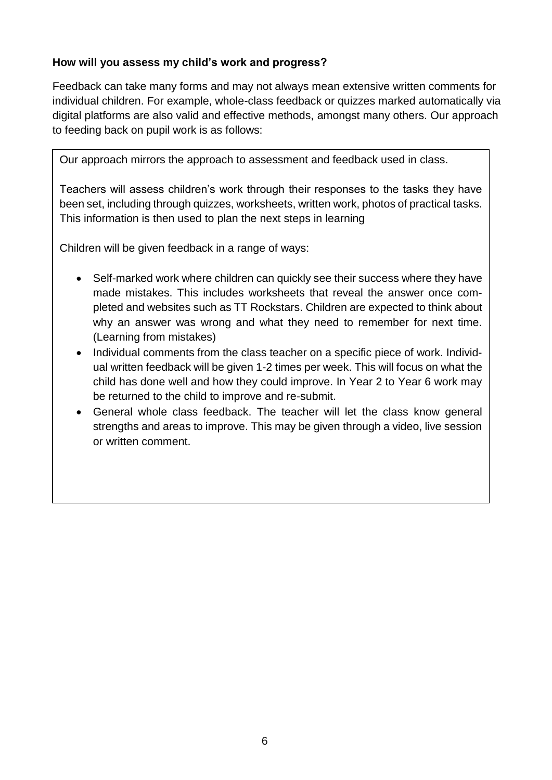#### **How will you assess my child's work and progress?**

Feedback can take many forms and may not always mean extensive written comments for individual children. For example, whole-class feedback or quizzes marked automatically via digital platforms are also valid and effective methods, amongst many others. Our approach to feeding back on pupil work is as follows:

Our approach mirrors the approach to assessment and feedback used in class.

Teachers will assess children's work through their responses to the tasks they have been set, including through quizzes, worksheets, written work, photos of practical tasks. This information is then used to plan the next steps in learning

Children will be given feedback in a range of ways:

- Self-marked work where children can quickly see their success where they have made mistakes. This includes worksheets that reveal the answer once completed and websites such as TT Rockstars. Children are expected to think about why an answer was wrong and what they need to remember for next time. (Learning from mistakes)
- Individual comments from the class teacher on a specific piece of work. Individual written feedback will be given 1-2 times per week. This will focus on what the child has done well and how they could improve. In Year 2 to Year 6 work may be returned to the child to improve and re-submit.
- General whole class feedback. The teacher will let the class know general strengths and areas to improve. This may be given through a video, live session or written comment.